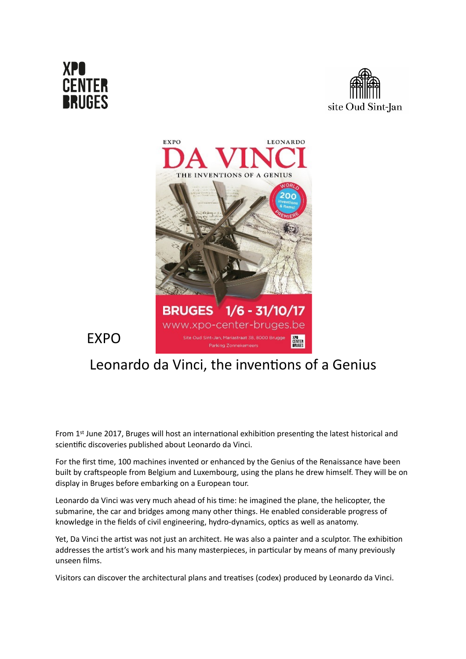

EXPO





## Leonardo da Vinci, the inventions of a Genius

From 1st June 2017, Bruges will host an international exhibition presenting the latest historical and scientific discoveries published about Leonardo da Vinci.

For the first time, 100 machines invented or enhanced by the Genius of the Renaissance have been built by craftspeople from Belgium and Luxembourg, using the plans he drew himself. They will be on display in Bruges before embarking on a European tour.

Leonardo da Vinci was very much ahead of his time: he imagined the plane, the helicopter, the submarine, the car and bridges among many other things. He enabled considerable progress of knowledge in the fields of civil engineering, hydro-dynamics, optics as well as anatomy.

Yet, Da Vinci the artist was not just an architect. He was also a painter and a sculptor. The exhibition addresses the artist's work and his many masterpieces, in particular by means of many previously unseen films.

Visitors can discover the architectural plans and treatises (codex) produced by Leonardo da Vinci.